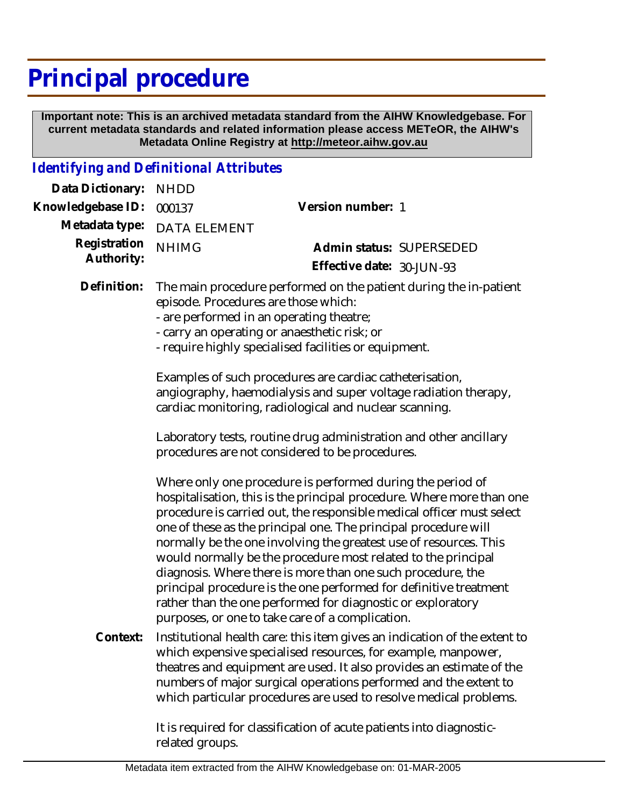## **Principal procedure**

 **Important note: This is an archived metadata standard from the AIHW Knowledgebase. For current metadata standards and related information please access METeOR, the AIHW's Metadata Online Registry at http://meteor.aihw.gov.au**

## *Identifying and Definitional Attributes*

| Data Dictionary:           | <b>NHDD</b>                                                                                                                                                                                                                                                    |                                                                                                                                                                                                                                                                                                                                                                                                                                                                                                                                                                                                                                                                              |
|----------------------------|----------------------------------------------------------------------------------------------------------------------------------------------------------------------------------------------------------------------------------------------------------------|------------------------------------------------------------------------------------------------------------------------------------------------------------------------------------------------------------------------------------------------------------------------------------------------------------------------------------------------------------------------------------------------------------------------------------------------------------------------------------------------------------------------------------------------------------------------------------------------------------------------------------------------------------------------------|
| Knowledgebase ID:          | 000137                                                                                                                                                                                                                                                         | Version number: 1                                                                                                                                                                                                                                                                                                                                                                                                                                                                                                                                                                                                                                                            |
| Metadata type:             | <b>DATA ELEMENT</b>                                                                                                                                                                                                                                            |                                                                                                                                                                                                                                                                                                                                                                                                                                                                                                                                                                                                                                                                              |
| Registration<br>Authority: | <b>NHIMG</b>                                                                                                                                                                                                                                                   | Admin status: SUPERSEDED<br>Effective date: 30-JUN-93                                                                                                                                                                                                                                                                                                                                                                                                                                                                                                                                                                                                                        |
| Definition:                | The main procedure performed on the patient during the in-patient<br>episode. Procedures are those which:<br>- are performed in an operating theatre;<br>- carry an operating or anaesthetic risk; or<br>- require highly specialised facilities or equipment. |                                                                                                                                                                                                                                                                                                                                                                                                                                                                                                                                                                                                                                                                              |
|                            | Examples of such procedures are cardiac catheterisation,<br>angiography, haemodialysis and super voltage radiation therapy,<br>cardiac monitoring, radiological and nuclear scanning.                                                                          |                                                                                                                                                                                                                                                                                                                                                                                                                                                                                                                                                                                                                                                                              |
|                            | Laboratory tests, routine drug administration and other ancillary<br>procedures are not considered to be procedures.                                                                                                                                           |                                                                                                                                                                                                                                                                                                                                                                                                                                                                                                                                                                                                                                                                              |
|                            |                                                                                                                                                                                                                                                                | Where only one procedure is performed during the period of<br>hospitalisation, this is the principal procedure. Where more than one<br>procedure is carried out, the responsible medical officer must select<br>one of these as the principal one. The principal procedure will<br>normally be the one involving the greatest use of resources. This<br>would normally be the procedure most related to the principal<br>diagnosis. Where there is more than one such procedure, the<br>principal procedure is the one performed for definitive treatment<br>rather than the one performed for diagnostic or exploratory<br>purposes, or one to take care of a complication. |
| Context:                   |                                                                                                                                                                                                                                                                | Institutional health care: this item gives an indication of the extent to<br>which expensive specialised resources, for example, manpower,<br>theatres and equipment are used. It also provides an estimate of the<br>numbers of major surgical operations performed and the extent to<br>which particular procedures are used to resolve medical problems.                                                                                                                                                                                                                                                                                                                  |

It is required for classification of acute patients into diagnosticrelated groups.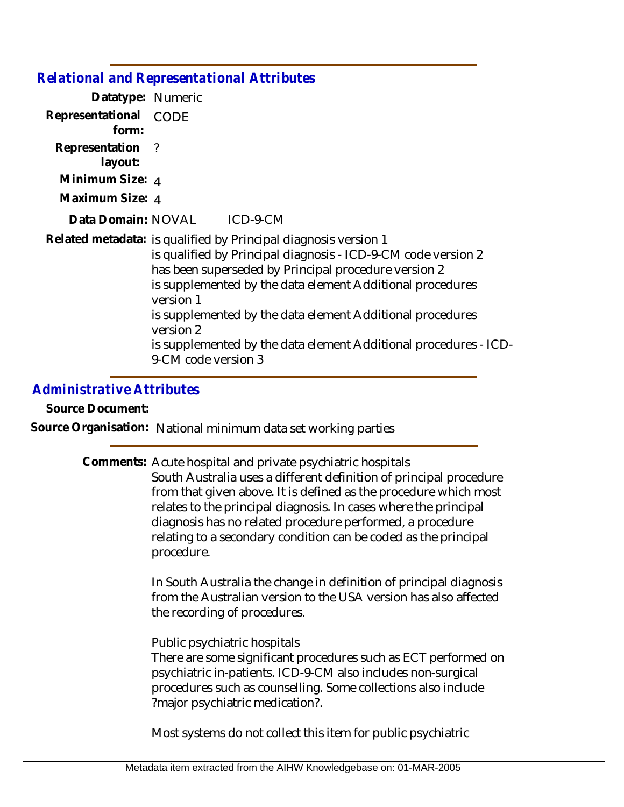|                                | <b>Relational and Representational Attributes</b>                                                                                                                                                                                                                                                                                                                                                                                       |
|--------------------------------|-----------------------------------------------------------------------------------------------------------------------------------------------------------------------------------------------------------------------------------------------------------------------------------------------------------------------------------------------------------------------------------------------------------------------------------------|
| Datatype: Numeric              |                                                                                                                                                                                                                                                                                                                                                                                                                                         |
| Representational CODE<br>form: |                                                                                                                                                                                                                                                                                                                                                                                                                                         |
| Representation ?<br>layout:    |                                                                                                                                                                                                                                                                                                                                                                                                                                         |
| Minimum Size: $_4$             |                                                                                                                                                                                                                                                                                                                                                                                                                                         |
| Maximum Size: 4                |                                                                                                                                                                                                                                                                                                                                                                                                                                         |
|                                | Data Domain: NOVAL ICD-9-CM                                                                                                                                                                                                                                                                                                                                                                                                             |
|                                | Related metadata: is qualified by Principal diagnosis version 1<br>is qualified by Principal diagnosis - ICD-9-CM code version 2<br>has been superseded by Principal procedure version 2<br>is supplemented by the data element Additional procedures<br>version 1<br>is supplemented by the data element Additional procedures<br>version 2<br>is supplemented by the data element Additional procedures - ICD-<br>9-CM code version 3 |

## *Administrative Attributes*

**Source Document:**

**Source Organisation:** National minimum data set working parties

Comments: Acute hospital and private psychiatric hospitals South Australia uses a different definition of principal procedure from that given above. It is defined as the procedure which most relates to the principal diagnosis. In cases where the principal diagnosis has no related procedure performed, a procedure relating to a secondary condition can be coded as the principal procedure.

> In South Australia the change in definition of principal diagnosis from the Australian version to the USA version has also affected the recording of procedures.

Public psychiatric hospitals

There are some significant procedures such as ECT performed on psychiatric in-patients. ICD-9-CM also includes non-surgical procedures such as counselling. Some collections also include ?major psychiatric medication?.

Most systems do not collect this item for public psychiatric